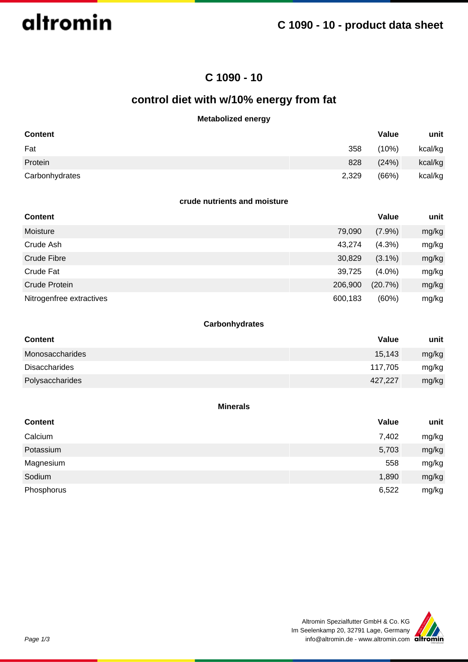

## **C 1090 - 10 - product data sheet**

## **C 1090 - 10**

## **control diet with w/10% energy from fat**

## **Metabolized energy**

| <b>Content</b> |       | Value | unit    |
|----------------|-------|-------|---------|
| Fat            | 358   | (10%) | kcal/kg |
| Protein        | 828   | (24%) | kcal/kg |
| Carbonhydrates | 2,329 | (66%) | kcal/kg |

#### **crude nutrients and moisture**

| <b>Content</b>           |         | Value     | unit  |
|--------------------------|---------|-----------|-------|
| Moisture                 | 79,090  | $(7.9\%)$ | mg/kg |
| Crude Ash                | 43,274  | $(4.3\%)$ | mg/kg |
| Crude Fibre              | 30,829  | $(3.1\%)$ | mg/kg |
| Crude Fat                | 39,725  | $(4.0\%)$ | mg/kg |
| Crude Protein            | 206,900 | (20.7%)   | mg/kg |
| Nitrogenfree extractives | 600,183 | (60%)     | mg/kg |

### **Carbonhydrates**

| <b>Content</b>         | Value   | unit  |
|------------------------|---------|-------|
| Monosaccharides        | 15,143  | mg/kg |
| <b>Disaccharides</b>   | 117,705 | mg/kg |
| <b>Polysaccharides</b> | 427,227 | mg/kg |

#### **Minerals**

| <b>Content</b> | Value | unit  |
|----------------|-------|-------|
| Calcium        | 7,402 | mg/kg |
| Potassium      | 5,703 | mg/kg |
| Magnesium      | 558   | mg/kg |
| Sodium         | 1,890 | mg/kg |
| Phosphorus     | 6,522 | mg/kg |

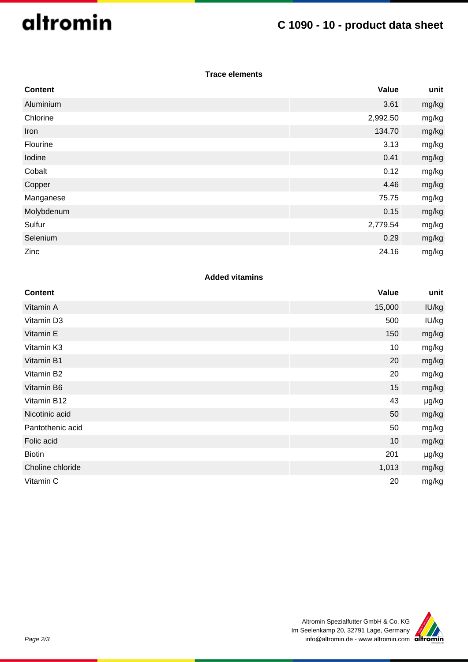# altromin

## **C 1090 - 10 - product data sheet**

### **Trace elements**

| <b>Content</b> | Value    | unit  |
|----------------|----------|-------|
| Aluminium      | 3.61     | mg/kg |
| Chlorine       | 2,992.50 | mg/kg |
| Iron           | 134.70   | mg/kg |
| Flourine       | 3.13     | mg/kg |
| Iodine         | 0.41     | mg/kg |
| Cobalt         | 0.12     | mg/kg |
| Copper         | 4.46     | mg/kg |
| Manganese      | 75.75    | mg/kg |
| Molybdenum     | 0.15     | mg/kg |
| Sulfur         | 2,779.54 | mg/kg |
| Selenium       | 0.29     | mg/kg |
| Zinc           | 24.16    | mg/kg |

## **Added vitamins**

| <b>Content</b>   | Value  | unit  |
|------------------|--------|-------|
| Vitamin A        | 15,000 | IU/kg |
| Vitamin D3       | 500    | IU/kg |
| Vitamin E        | 150    | mg/kg |
| Vitamin K3       | 10     | mg/kg |
| Vitamin B1       | 20     | mg/kg |
| Vitamin B2       | 20     | mg/kg |
| Vitamin B6       | 15     | mg/kg |
| Vitamin B12      | 43     | µg/kg |
| Nicotinic acid   | 50     | mg/kg |
| Pantothenic acid | 50     | mg/kg |
| Folic acid       | 10     | mg/kg |
| <b>Biotin</b>    | 201    | µg/kg |
| Choline chloride | 1,013  | mg/kg |
| Vitamin C        | 20     | mg/kg |